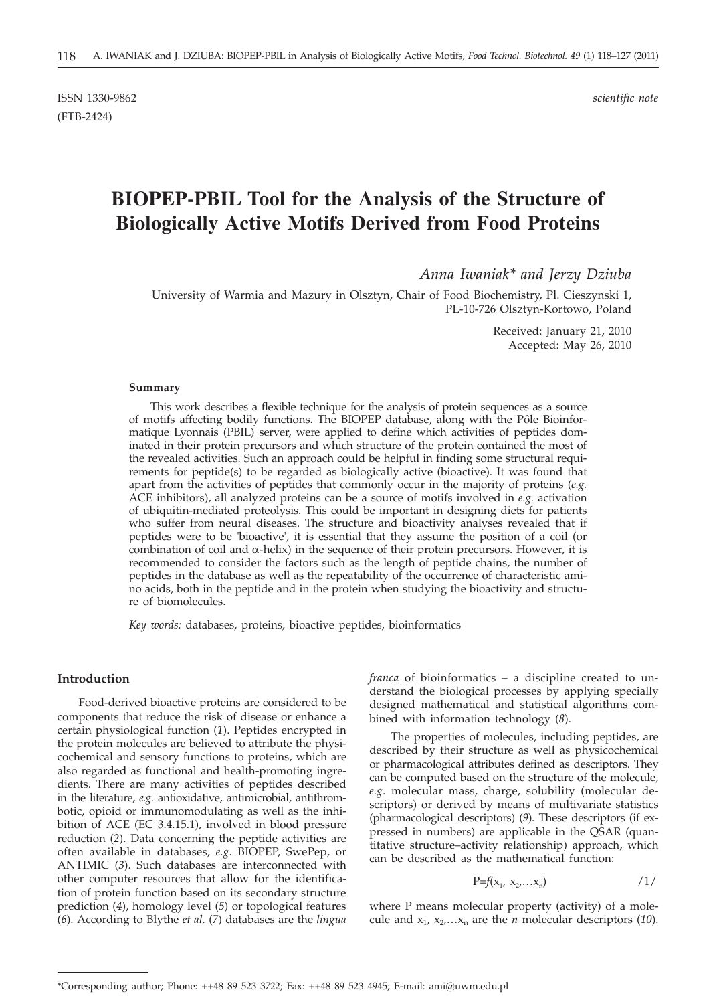ISSN 1330-9862 *scientific note* (FTB-2424)

# **BIOPEP-PBIL Tool for the Analysis of the Structure of Biologically Active Motifs Derived from Food Proteins**

*Anna Iwaniak\* and Jerzy Dziuba*

University of Warmia and Mazury in Olsztyn, Chair of Food Biochemistry, Pl. Cieszynski 1, PL-10-726 Olsztyn-Kortowo, Poland

> Received: January 21, 2010 Accepted: May 26, 2010

#### **Summary**

This work describes a flexible technique for the analysis of protein sequences as a source of motifs affecting bodily functions. The BIOPEP database, along with the Pôle Bioinformatique Lyonnais (PBIL) server, were applied to define which activities of peptides dominated in their protein precursors and which structure of the protein contained the most of the revealed activities. Such an approach could be helpful in finding some structural requirements for peptide(s) to be regarded as biologically active (bioactive). It was found that apart from the activities of peptides that commonly occur in the majority of proteins (*e.g.* ACE inhibitors), all analyzed proteins can be a source of motifs involved in *e.g.* activation of ubiquitin-mediated proteolysis. This could be important in designing diets for patients who suffer from neural diseases. The structure and bioactivity analyses revealed that if peptides were to be 'bioactive', it is essential that they assume the position of a coil (or combination of coil and  $\alpha$ -helix) in the sequence of their protein precursors. However, it is recommended to consider the factors such as the length of peptide chains, the number of peptides in the database as well as the repeatability of the occurrence of characteristic amino acids, both in the peptide and in the protein when studying the bioactivity and structure of biomolecules.

*Key words:* databases, proteins, bioactive peptides, bioinformatics

## **Introduction**

Food-derived bioactive proteins are considered to be components that reduce the risk of disease or enhance a certain physiological function (*1*). Peptides encrypted in the protein molecules are believed to attribute the physicochemical and sensory functions to proteins, which are also regarded as functional and health-promoting ingredients. There are many activities of peptides described in the literature, *e.g.* antioxidative, antimicrobial, antithrombotic, opioid or immunomodulating as well as the inhibition of ACE (EC 3.4.15.1), involved in blood pressure reduction (*2*). Data concerning the peptide activities are often available in databases, *e.g.* BIOPEP, SwePep, or ANTIMIC (*3*). Such databases are interconnected with other computer resources that allow for the identification of protein function based on its secondary structure prediction (*4*), homology level (*5*) or topological features (*6*). According to Blythe *et al.* (*7*) databases are the *lingua* *franca* of bioinformatics – a discipline created to understand the biological processes by applying specially designed mathematical and statistical algorithms combined with information technology (*8*).

The properties of molecules, including peptides, are described by their structure as well as physicochemical or pharmacological attributes defined as descriptors. They can be computed based on the structure of the molecule, *e.g.* molecular mass, charge, solubility (molecular descriptors) or derived by means of multivariate statistics (pharmacological descriptors) (*9*). These descriptors (if expressed in numbers) are applicable in the QSAR (quantitative structure–activity relationship) approach, which can be described as the mathematical function:

$$
P=f(x_1, x_2,...x_n) \qquad \qquad \text{1/}
$$

where P means molecular property (activity) of a molecule and  $x_1, x_2,...x_n$  are the *n* molecular descriptors (10).

<sup>\*</sup>Corresponding author; Phone: ++48 89 523 3722; Fax: ++48 89 523 4945; E-mail: ami@uwm.edu.pl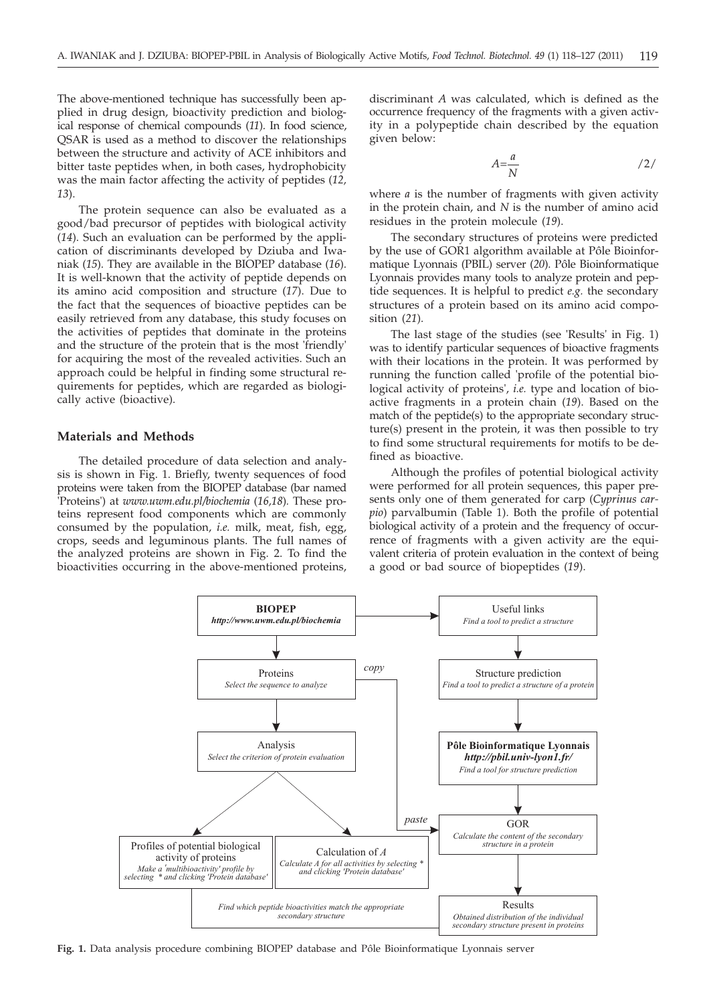The above-mentioned technique has successfully been applied in drug design, bioactivity prediction and biological response of chemical compounds (*11*). In food science, QSAR is used as a method to discover the relationships between the structure and activity of ACE inhibitors and bitter taste peptides when, in both cases, hydrophobicity was the main factor affecting the activity of peptides (*12, 13*).

The protein sequence can also be evaluated as a good/bad precursor of peptides with biological activity (*14*). Such an evaluation can be performed by the application of discriminants developed by Dziuba and Iwaniak (*15*). They are available in the BIOPEP database (*16*). It is well-known that the activity of peptide depends on its amino acid composition and structure (*17*). Due to the fact that the sequences of bioactive peptides can be easily retrieved from any database, this study focuses on the activities of peptides that dominate in the proteins and the structure of the protein that is the most 'friendly' for acquiring the most of the revealed activities. Such an approach could be helpful in finding some structural requirements for peptides, which are regarded as biologically active (bioactive).

## **Materials and Methods**

The detailed procedure of data selection and analysis is shown in Fig. 1. Briefly, twenty sequences of food proteins were taken from the BIOPEP database (bar named 'Proteins') at *www.uwm.edu.pl/biochemia* (*16,18*)*.* These proteins represent food components which are commonly consumed by the population, *i.e.* milk, meat, fish, egg, crops, seeds and leguminous plants. The full names of the analyzed proteins are shown in Fig. 2. To find the bioactivities occurring in the above-mentioned proteins,

discriminant *A* was calculated, which is defined as the occurrence frequency of the fragments with a given activity in a polypeptide chain described by the equation given below:

$$
A = \frac{a}{N}
$$

where *a* is the number of fragments with given activity in the protein chain, and *N* is the number of amino acid residues in the protein molecule (*19*).

The secondary structures of proteins were predicted by the use of GOR1 algorithm available at Pôle Bioinformatique Lyonnais (PBIL) server (*20*). Pôle Bioinformatique Lyonnais provides many tools to analyze protein and peptide sequences. It is helpful to predict *e.g.* the secondary structures of a protein based on its amino acid composition (*21*).

The last stage of the studies (see 'Results' in Fig. 1) was to identify particular sequences of bioactive fragments with their locations in the protein. It was performed by running the function called 'profile of the potential biological activity of proteins', *i.e.* type and location of bioactive fragments in a protein chain (*19*). Based on the match of the peptide(s) to the appropriate secondary structure(s) present in the protein, it was then possible to try to find some structural requirements for motifs to be defined as bioactive.

Although the profiles of potential biological activity were performed for all protein sequences, this paper presents only one of them generated for carp (*Cyprinus carpio*) parvalbumin (Table 1). Both the profile of potential biological activity of a protein and the frequency of occurrence of fragments with a given activity are the equivalent criteria of protein evaluation in the context of being a good or bad source of biopeptides (*19*).



**Fig. 1.** Data analysis procedure combining BIOPEP database and Pôle Bioinformatique Lyonnais server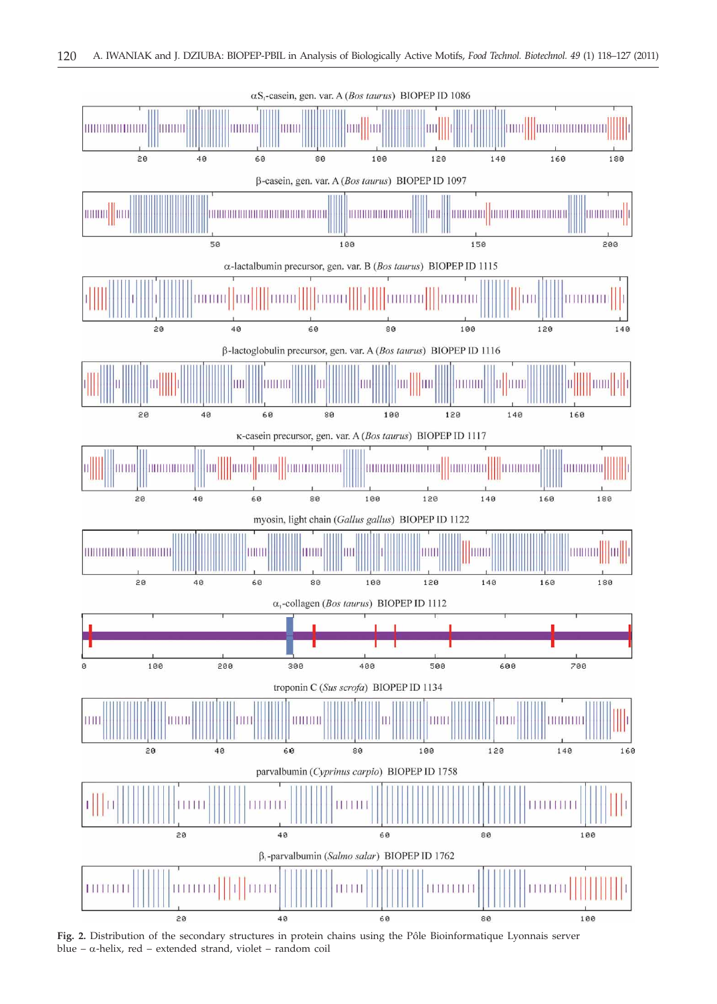

**Fig. 2.** Distribution of the secondary structures in protein chains using the Pôle Bioinformatique Lyonnais server blue –  $\alpha$ -helix, red – extended strand, violet – random coil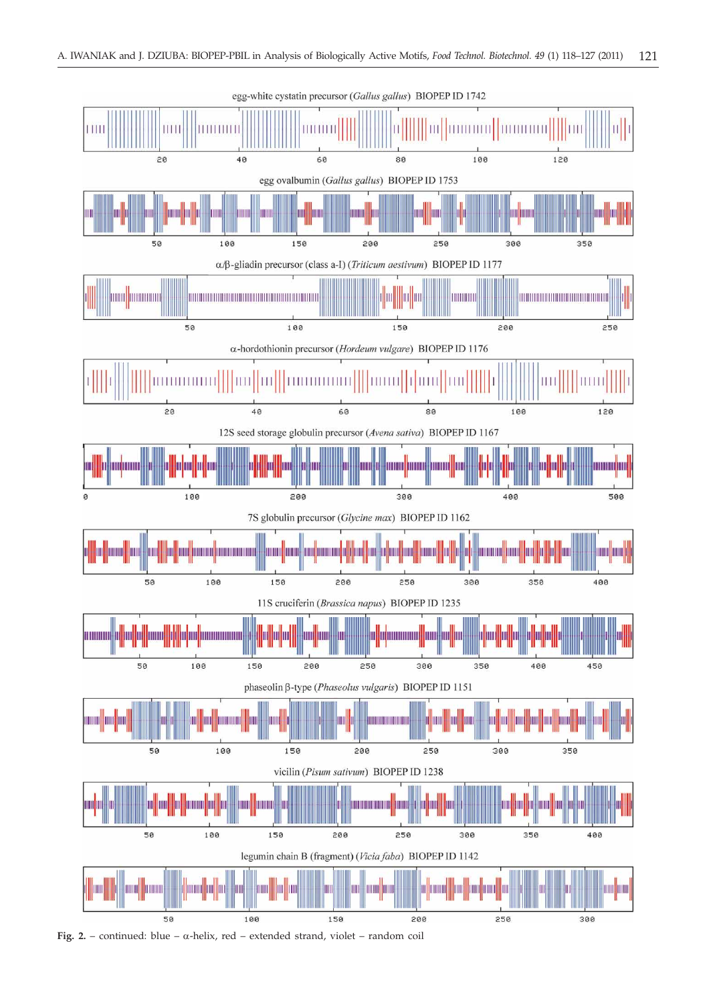

Fig. 2. – continued: blue –  $\alpha$ -helix, red – extended strand, violet – random coil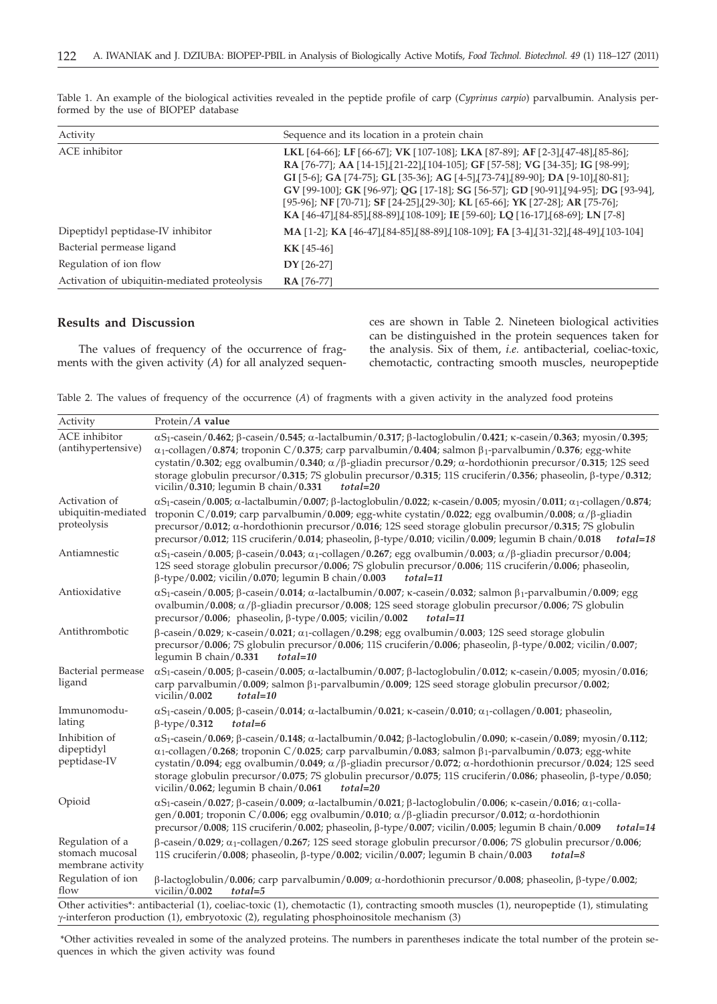| Activity                                     | Sequence and its location in a protein chain                                                                                                                                                                                                                                                                                                                                                                                                                                                                        |  |  |
|----------------------------------------------|---------------------------------------------------------------------------------------------------------------------------------------------------------------------------------------------------------------------------------------------------------------------------------------------------------------------------------------------------------------------------------------------------------------------------------------------------------------------------------------------------------------------|--|--|
| ACE inhibitor                                | LKL [64-66]; LF [66-67]; VK [107-108]; LKA [87-89]; AF [2-3], [47-48], [85-86];<br>RA [76-77]; AA [14-15], [21-22], [104-105]; GF [57-58]; VG [34-35]; IG [98-99];<br>GI [5-6]; GA [74-75]; GL [35-36]; AG [4-5], [73-74], [89-90]; DA [9-10], [80-81];<br>GV [99-100]; GK [96-97]; QG [17-18]; SG [56-57]; GD [90-91], [94-95]; DG [93-94],<br>[95-96]; NF [70-71]; SF [24-25], [29-30]; KL [65-66]; YK [27-28]; AR [75-76];<br>KA [46-47], [84-85], [88-89], [108-109]; IE [59-60]; LQ [16-17], [68-69]; LN [7-8] |  |  |
| Dipeptidyl peptidase-IV inhibitor            | <b>MA</b> [1-2]; <b>KA</b> [46-47], [84-85], [88-89], [108-109]; <b>FA</b> [3-4], [31-32], [48-49], [103-104]                                                                                                                                                                                                                                                                                                                                                                                                       |  |  |
| Bacterial permease ligand                    | $KK[45-46]$                                                                                                                                                                                                                                                                                                                                                                                                                                                                                                         |  |  |
| Regulation of ion flow                       | $DY [26-27]$                                                                                                                                                                                                                                                                                                                                                                                                                                                                                                        |  |  |
| Activation of ubiquitin-mediated proteolysis | <b>RA</b> [76-77]                                                                                                                                                                                                                                                                                                                                                                                                                                                                                                   |  |  |

Table 1. An example of the biological activities revealed in the peptide profile of carp (*Cyprinus carpio*) parvalbumin. Analysis performed by the use of BIOPEP database

## **Results and Discussion**

The values of frequency of the occurrence of fragments with the given activity (*A*) for all analyzed sequences are shown in Table 2. Nineteen biological activities can be distinguished in the protein sequences taken for the analysis. Six of them, *i.e.* antibacterial, coeliac-toxic, chemotactic, contracting smooth muscles, neuropeptide

Table 2. The values of frequency of the occurrence (*A*) of fragments with a given activity in the analyzed food proteins

| Activity                                                | Protein/A value                                                                                                                                                                                                                                                                                                                                                                                                                                                                                                                                                                                         |  |  |  |  |  |
|---------------------------------------------------------|---------------------------------------------------------------------------------------------------------------------------------------------------------------------------------------------------------------------------------------------------------------------------------------------------------------------------------------------------------------------------------------------------------------------------------------------------------------------------------------------------------------------------------------------------------------------------------------------------------|--|--|--|--|--|
| ACE inhibitor<br>(antihypertensive)                     | $\alpha$ S <sub>1</sub> -casein/0.462; $\beta$ -casein/0.545; $\alpha$ -lactalbumin/0.317; $\beta$ -lactoglobulin/0.421; $\kappa$ -casein/0.363; myosin/0.395;<br>$\alpha_1$ -collagen/0.874; troponin C/0.375; carp parvalbumin/0.404; salmon $\beta_1$ -parvalbumin/0.376; egg-white<br>cystatin/0.302; egg ovalbumin/0.340; $\alpha$ / $\beta$ -gliadin precursor/0.29; $\alpha$ -hordothionin precursor/0.315; 12S seed<br>storage globulin precursor/0.315; 7S globulin precursor/0.315; 11S cruciferin/0.356; phaseolin, β-type/0.312;<br>vicilin/ $0.310$ ; legumin B chain/ $0.331$<br>total=20 |  |  |  |  |  |
| Activation of<br>ubiquitin-mediated<br>proteolysis      | $\alpha$ S <sub>1</sub> -casein/0.005; $\alpha$ -lactalbumin/0.007; $\beta$ -lactoglobulin/0.022; $\kappa$ -casein/0.005; myosin/0.011; $\alpha_1$ -collagen/0.874;<br>troponin C/0.019; carp parvalbumin/0.009; egg-white cystatin/0.022; egg ovalbumin/0.008; $\alpha$ / $\beta$ -gliadin<br>precursor/0.012; $\alpha$ -hordothionin precursor/0.016; 12S seed storage globulin precursor/0.315; 7S globulin<br>precursor/0.012; 11S cruciferin/0.014; phaseolin, $\beta$ -type/0.010; vicilin/0.009; legumin B chain/0.018<br>total=18                                                               |  |  |  |  |  |
| Antiamnestic                                            | $\alpha$ S <sub>1</sub> -casein/0.005; $\beta$ -casein/0.043; $\alpha$ <sub>1</sub> -collagen/0.267; egg ovalbumin/0.003; $\alpha$ / $\beta$ -gliadin precursor/0.004;<br>12S seed storage globulin precursor/0.006; 7S globulin precursor/0.006; 11S cruciferin/0.006; phaseolin,<br>$\beta$ -type/0.002; vicilin/0.070; legumin B chain/0.003<br>total=11                                                                                                                                                                                                                                             |  |  |  |  |  |
| Antioxidative                                           | $\alpha S_1$ -casein/0.005; $\beta$ -casein/0.014; $\alpha$ -lactalbumin/0.007; $\kappa$ -casein/0.032; salmon $\beta_1$ -parvalbumin/0.009; egg<br>ovalbumin/0.008; $\alpha/\beta$ -gliadin precursor/0.008; 12S seed storage globulin precursor/0.006; 7S globulin<br>precursor/ $0.006$ ; phaseolin, $\beta$ -type/ $0.005$ ; vicilin/ $0.002$<br>total=11                                                                                                                                                                                                                                           |  |  |  |  |  |
| Antithrombotic                                          | $\beta$ -casein/0.029; k-casein/0.021; $\alpha_1$ -collagen/0.298; egg ovalbumin/0.003; 12S seed storage globulin<br>precursor/0.006; 7S globulin precursor/0.006; 11S cruciferin/0.006; phaseolin, $\beta$ -type/0.002; vicilin/0.007;<br>legumin $B$ chain/0.331<br>total=10                                                                                                                                                                                                                                                                                                                          |  |  |  |  |  |
| Bacterial permease<br>ligand                            | $\alpha$ S <sub>1</sub> -casein/0.005; $\beta$ -casein/0.005; $\alpha$ -lactalbumin/0.007; $\beta$ -lactoglobulin/0.012; $\kappa$ -casein/0.005; myosin/0.016;<br>carp parvalbumin/0.009; salmon $\beta_1$ -parvalbumin/0.009; 12S seed storage globulin precursor/0.002;<br>vicilin/0.002<br>$total = 10$                                                                                                                                                                                                                                                                                              |  |  |  |  |  |
| Immunomodu-<br>lating                                   | $\alpha$ S <sub>1</sub> -casein/0.005; $\beta$ -casein/0.014; $\alpha$ -lactalbumin/0.021; $\kappa$ -casein/0.010; $\alpha$ <sub>1</sub> -collagen/0.001; phaseolin,<br>$\beta$ -type/0.312<br>$total=6$                                                                                                                                                                                                                                                                                                                                                                                                |  |  |  |  |  |
| Inhibition of<br>dipeptidyl<br>peptidase-IV             | $\alpha S_1$ -casein/0.069; $\beta$ -casein/0.148; $\alpha$ -lactalbumin/0.042; $\beta$ -lactoglobulin/0.090; $\kappa$ -casein/0.089; myosin/0.112;<br>$\alpha_1$ -collagen/0.268; troponin C/0.025; carp parvalbumin/0.083; salmon $\beta_1$ -parvalbumin/0.073; egg-white<br>cystatin/0.094; egg ovalbumin/0.049; $\alpha$ / $\beta$ -gliadin precursor/0.072; $\alpha$ -hordothionin precursor/0.024; 12S seed<br>storage globulin precursor/0.075; 7S globulin precursor/0.075; 11S cruciferin/0.086; phaseolin, $\beta$ -type/0.050;<br>vicilin/0.062; legumin B chain/0.061<br>$total = 20$       |  |  |  |  |  |
| Opioid                                                  | $\alpha$ S <sub>1</sub> -casein/0.027; $\beta$ -casein/0.009; $\alpha$ -lactalbumin/0.021; $\beta$ -lactoglobulin/0.006; $\kappa$ -casein/0.016; $\alpha$ <sub>1</sub> -colla-<br>gen/0.001; troponin C/0.006; egg ovalbumin/0.010; $\alpha$ / $\beta$ -gliadin precursor/0.012; $\alpha$ -hordothionin<br>precursor/0.008; 11S cruciferin/0.002; phaseolin, $\beta$ -type/0.007; vicilin/0.005; legumin B chain/0.009<br>$total = 14$                                                                                                                                                                  |  |  |  |  |  |
| Regulation of a<br>stomach mucosal<br>membrane activity | $\beta$ -casein/0.029; $\alpha_1$ -collagen/0.267; 12S seed storage globulin precursor/0.006; 7S globulin precursor/0.006;<br>11S cruciferin/0.008; phaseolin, $\beta$ -type/0.002; vicilin/0.007; legumin B chain/0.003<br>$total = 8$                                                                                                                                                                                                                                                                                                                                                                 |  |  |  |  |  |
| Regulation of ion<br>flow                               | $\beta$ -lactoglobulin/0.006; carp parvalbumin/0.009; $\alpha$ -hordothionin precursor/0.008; phaseolin, $\beta$ -type/0.002;<br>vicilin/ $0.002$<br>$total = 5$                                                                                                                                                                                                                                                                                                                                                                                                                                        |  |  |  |  |  |
|                                                         | Other activities*: antibacterial (1), coeliac-toxic (1), chemotactic (1), contracting smooth muscles (1), neuropeptide (1), stimulating                                                                                                                                                                                                                                                                                                                                                                                                                                                                 |  |  |  |  |  |

g-interferon production (1), embryotoxic (2), regulating phosphoinositole mechanism (3)

\*Other activities revealed in some of the analyzed proteins. The numbers in parentheses indicate the total number of the protein sequences in which the given activity was found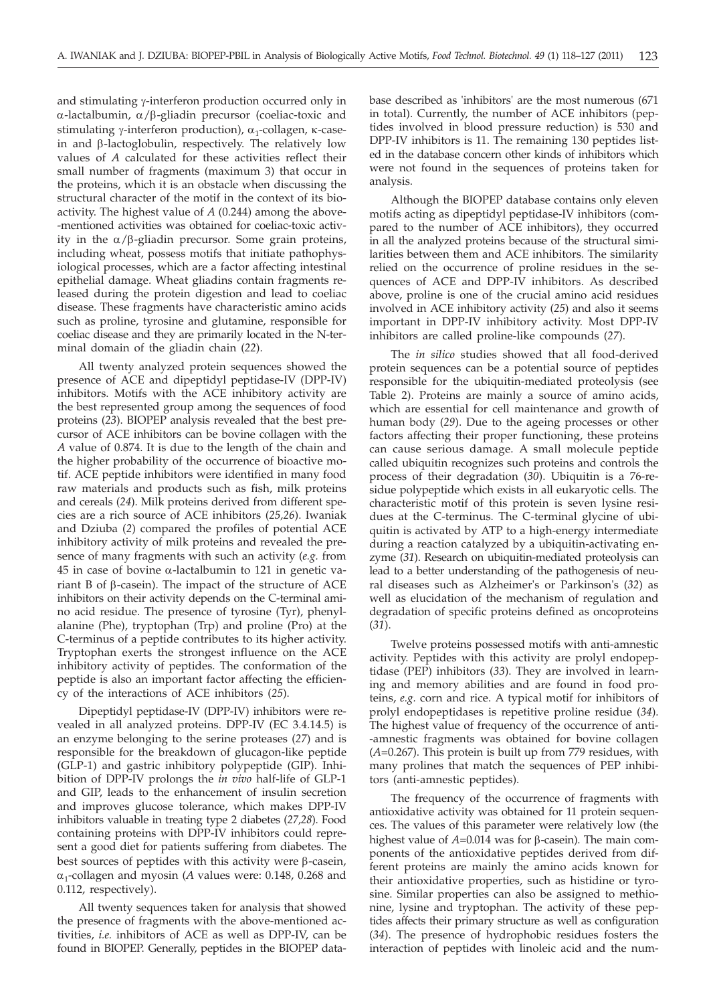and stimulating y-interferon production occurred only in  $\alpha$ -lactalbumin,  $\alpha/\beta$ -gliadin precursor (coeliac-toxic and stimulating y-interferon production),  $\alpha_1$ -collagen,  $\kappa$ -casein and b-lactoglobulin, respectively. The relatively low values of *A* calculated for these activities reflect their small number of fragments (maximum 3) that occur in the proteins, which it is an obstacle when discussing the structural character of the motif in the context of its bioactivity. The highest value of *A* (0.244) among the above- -mentioned activities was obtained for coeliac-toxic activity in the  $\alpha/\beta$ -gliadin precursor. Some grain proteins, including wheat, possess motifs that initiate pathophysiological processes, which are a factor affecting intestinal epithelial damage. Wheat gliadins contain fragments released during the protein digestion and lead to coeliac disease. These fragments have characteristic amino acids such as proline, tyrosine and glutamine, responsible for coeliac disease and they are primarily located in the N-terminal domain of the gliadin chain (*22*).

All twenty analyzed protein sequences showed the presence of ACE and dipeptidyl peptidase-IV (DPP-IV) inhibitors. Motifs with the ACE inhibitory activity are the best represented group among the sequences of food proteins (*23*). BIOPEP analysis revealed that the best precursor of ACE inhibitors can be bovine collagen with the *A* value of 0.874. It is due to the length of the chain and the higher probability of the occurrence of bioactive motif. ACE peptide inhibitors were identified in many food raw materials and products such as fish, milk proteins and cereals (*24*). Milk proteins derived from different species are a rich source of ACE inhibitors (*25,26*). Iwaniak and Dziuba (*2*) compared the profiles of potential ACE inhibitory activity of milk proteins and revealed the presence of many fragments with such an activity (*e.g.* from 45 in case of bovine  $\alpha$ -lactalbumin to 121 in genetic variant B of  $\beta$ -casein). The impact of the structure of ACE inhibitors on their activity depends on the C-terminal amino acid residue. The presence of tyrosine (Tyr), phenylalanine (Phe), tryptophan (Trp) and proline (Pro) at the C-terminus of a peptide contributes to its higher activity. Tryptophan exerts the strongest influence on the ACE inhibitory activity of peptides. The conformation of the peptide is also an important factor affecting the efficiency of the interactions of ACE inhibitors (*25*).

Dipeptidyl peptidase-IV (DPP-IV) inhibitors were revealed in all analyzed proteins. DPP-IV (EC 3.4.14.5) is an enzyme belonging to the serine proteases (*27*) and is responsible for the breakdown of glucagon-like peptide (GLP-1) and gastric inhibitory polypeptide (GIP). Inhibition of DPP-IV prolongs the *in vivo* half-life of GLP-1 and GIP, leads to the enhancement of insulin secretion and improves glucose tolerance, which makes DPP-IV inhibitors valuable in treating type 2 diabetes (*27,28*). Food containing proteins with DPP-IV inhibitors could represent a good diet for patients suffering from diabetes. The best sources of peptides with this activity were  $\beta$ -casein,  $\alpha_1$ -collagen and myosin (A values were: 0.148, 0.268 and 0.112, respectively).

All twenty sequences taken for analysis that showed the presence of fragments with the above-mentioned activities, *i.e.* inhibitors of ACE as well as DPP-IV, can be found in BIOPEP. Generally, peptides in the BIOPEP database described as 'inhibitors' are the most numerous (671 in total). Currently, the number of ACE inhibitors (peptides involved in blood pressure reduction) is 530 and DPP-IV inhibitors is 11. The remaining 130 peptides listed in the database concern other kinds of inhibitors which were not found in the sequences of proteins taken for analysis.

Although the BIOPEP database contains only eleven motifs acting as dipeptidyl peptidase-IV inhibitors (compared to the number of ACE inhibitors), they occurred in all the analyzed proteins because of the structural similarities between them and ACE inhibitors. The similarity relied on the occurrence of proline residues in the sequences of ACE and DPP-IV inhibitors. As described above, proline is one of the crucial amino acid residues involved in ACE inhibitory activity (*25*) and also it seems important in DPP-IV inhibitory activity. Most DPP-IV inhibitors are called proline-like compounds (*27*).

The *in silico* studies showed that all food-derived protein sequences can be a potential source of peptides responsible for the ubiquitin-mediated proteolysis (see Table 2). Proteins are mainly a source of amino acids, which are essential for cell maintenance and growth of human body (*29*). Due to the ageing processes or other factors affecting their proper functioning, these proteins can cause serious damage. A small molecule peptide called ubiquitin recognizes such proteins and controls the process of their degradation (*30*). Ubiquitin is a 76-residue polypeptide which exists in all eukaryotic cells. The characteristic motif of this protein is seven lysine residues at the C-terminus. The C-terminal glycine of ubiquitin is activated by ATP to a high-energy intermediate during a reaction catalyzed by a ubiquitin-activating enzyme (*31*). Research on ubiquitin-mediated proteolysis can lead to a better understanding of the pathogenesis of neural diseases such as Alzheimer's or Parkinson's (*32*) as well as elucidation of the mechanism of regulation and degradation of specific proteins defined as oncoproteins (*31*).

Twelve proteins possessed motifs with anti-amnestic activity. Peptides with this activity are prolyl endopeptidase (PEP) inhibitors (*33*). They are involved in learning and memory abilities and are found in food proteins, *e.g.* corn and rice. A typical motif for inhibitors of prolyl endopeptidases is repetitive proline residue (*34*). The highest value of frequency of the occurrence of anti- -amnestic fragments was obtained for bovine collagen (*A*=0.267). This protein is built up from 779 residues, with many prolines that match the sequences of PEP inhibitors (anti-amnestic peptides).

The frequency of the occurrence of fragments with antioxidative activity was obtained for 11 protein sequences. The values of this parameter were relatively low (the highest value of  $A=0.014$  was for  $\beta$ -casein). The main components of the antioxidative peptides derived from different proteins are mainly the amino acids known for their antioxidative properties, such as histidine or tyrosine. Similar properties can also be assigned to methionine, lysine and tryptophan. The activity of these peptides affects their primary structure as well as configuration (*34*). The presence of hydrophobic residues fosters the interaction of peptides with linoleic acid and the num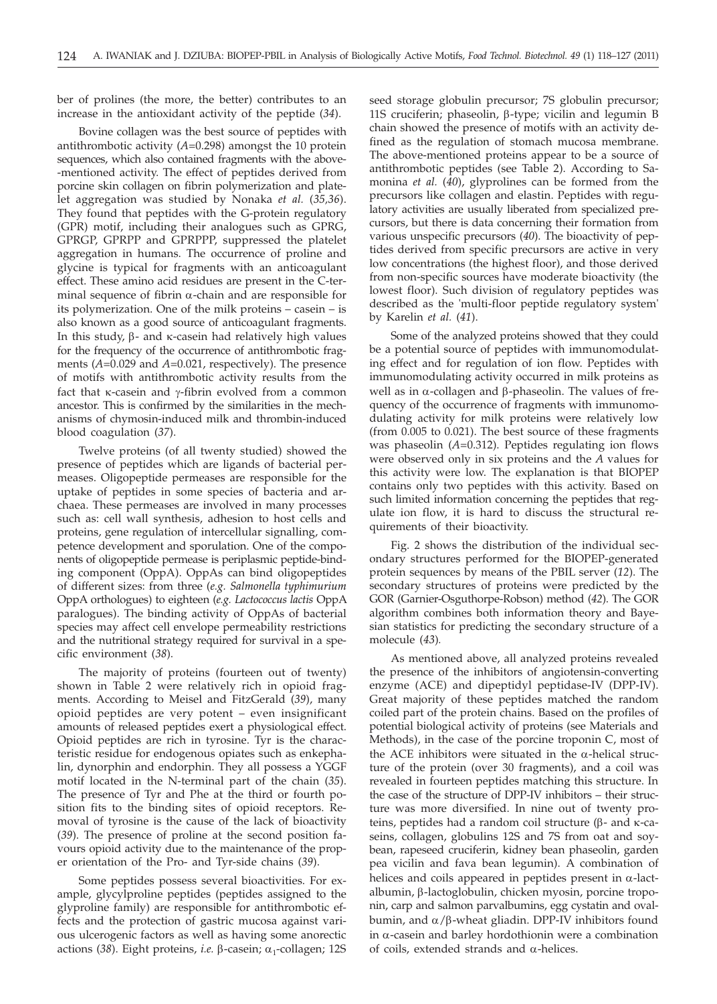ber of prolines (the more, the better) contributes to an increase in the antioxidant activity of the peptide (*34*).

Bovine collagen was the best source of peptides with antithrombotic activity (*A*=0.298) amongst the 10 protein sequences, which also contained fragments with the above- -mentioned activity. The effect of peptides derived from porcine skin collagen on fibrin polymerization and platelet aggregation was studied by Nonaka *et al.* (*35,36*). They found that peptides with the G-protein regulatory (GPR) motif, including their analogues such as GPRG, GPRGP, GPRPP and GPRPPP, suppressed the platelet aggregation in humans. The occurrence of proline and glycine is typical for fragments with an anticoagulant effect. These amino acid residues are present in the C-terminal sequence of fibrin  $\alpha$ -chain and are responsible for its polymerization. One of the milk proteins – casein – is also known as a good source of anticoagulant fragments. In this study,  $\beta$ - and  $\kappa$ -casein had relatively high values for the frequency of the occurrence of antithrombotic fragments (*A*=0.029 and *A*=0.021, respectively). The presence of motifs with antithrombotic activity results from the fact that  $\kappa$ -casein and  $\gamma$ -fibrin evolved from a common ancestor. This is confirmed by the similarities in the mechanisms of chymosin-induced milk and thrombin-induced blood coagulation (*37*).

Twelve proteins (of all twenty studied) showed the presence of peptides which are ligands of bacterial permeases. Oligopeptide permeases are responsible for the uptake of peptides in some species of bacteria and archaea. These permeases are involved in many processes such as: cell wall synthesis, adhesion to host cells and proteins, gene regulation of intercellular signalling, competence development and sporulation. One of the components of oligopeptide permease is periplasmic peptide-binding component (OppA). OppAs can bind oligopeptides of different sizes: from three (*e.g. Salmonella typhimurium* OppA orthologues) to eighteen (*e.g. Lactococcus lactis* OppA paralogues). The binding activity of OppAs of bacterial species may affect cell envelope permeability restrictions and the nutritional strategy required for survival in a specific environment (*38*).

The majority of proteins (fourteen out of twenty) shown in Table 2 were relatively rich in opioid fragments. According to Meisel and FitzGerald (*39*), many opioid peptides are very potent – even insignificant amounts of released peptides exert a physiological effect. Opioid peptides are rich in tyrosine. Tyr is the characteristic residue for endogenous opiates such as enkephalin, dynorphin and endorphin. They all possess a YGGF motif located in the N-terminal part of the chain (*35*). The presence of Tyr and Phe at the third or fourth position fits to the binding sites of opioid receptors. Removal of tyrosine is the cause of the lack of bioactivity (*39*). The presence of proline at the second position favours opioid activity due to the maintenance of the proper orientation of the Pro- and Tyr-side chains (*39*).

Some peptides possess several bioactivities. For example, glycylproline peptides (peptides assigned to the glyproline family) are responsible for antithrombotic effects and the protection of gastric mucosa against various ulcerogenic factors as well as having some anorectic actions (38). Eight proteins, *i.e.*  $\beta$ -casein;  $\alpha_1$ -collagen; 12S

seed storage globulin precursor; 7S globulin precursor; 11S cruciferin; phaseolin,  $\beta$ -type; vicilin and legumin B chain showed the presence of motifs with an activity defined as the regulation of stomach mucosa membrane. The above-mentioned proteins appear to be a source of antithrombotic peptides (see Table 2). According to Samonina *et al.* (*40*), glyprolines can be formed from the precursors like collagen and elastin. Peptides with regulatory activities are usually liberated from specialized precursors, but there is data concerning their formation from various unspecific precursors (*40*). The bioactivity of peptides derived from specific precursors are active in very low concentrations (the highest floor), and those derived from non-specific sources have moderate bioactivity (the lowest floor). Such division of regulatory peptides was described as the 'multi-floor peptide regulatory system' by Karelin *et al.* (*41*).

Some of the analyzed proteins showed that they could be a potential source of peptides with immunomodulating effect and for regulation of ion flow. Peptides with immunomodulating activity occurred in milk proteins as well as in  $\alpha$ -collagen and  $\beta$ -phaseolin. The values of frequency of the occurrence of fragments with immunomodulating activity for milk proteins were relatively low (from 0.005 to 0.021). The best source of these fragments was phaseolin (*A*=0.312). Peptides regulating ion flows were observed only in six proteins and the *A* values for this activity were low. The explanation is that BIOPEP contains only two peptides with this activity. Based on such limited information concerning the peptides that regulate ion flow, it is hard to discuss the structural requirements of their bioactivity.

Fig. 2 shows the distribution of the individual secondary structures performed for the BIOPEP-generated protein sequences by means of the PBIL server (*12*). The secondary structures of proteins were predicted by the GOR (Garnier-Osguthorpe-Robson) method (*42*). The GOR algorithm combines both information theory and Bayesian statistics for predicting the secondary structure of a molecule (*43*)*.*

As mentioned above, all analyzed proteins revealed the presence of the inhibitors of angiotensin-converting enzyme (ACE) and dipeptidyl peptidase-IV (DPP-IV). Great majority of these peptides matched the random coiled part of the protein chains. Based on the profiles of potential biological activity of proteins (see Materials and Methods), in the case of the porcine troponin C, most of the ACE inhibitors were situated in the  $\alpha$ -helical structure of the protein (over 30 fragments), and a coil was revealed in fourteen peptides matching this structure. In the case of the structure of DPP-IV inhibitors – their structure was more diversified. In nine out of twenty proteins, peptides had a random coil structure  $(\beta$ - and  $\kappa$ -caseins, collagen, globulins 12S and 7S from oat and soybean, rapeseed cruciferin, kidney bean phaseolin, garden pea vicilin and fava bean legumin). A combination of helices and coils appeared in peptides present in  $\alpha$ -lactalbumin, β-lactoglobulin, chicken myosin, porcine troponin, carp and salmon parvalbumins, egg cystatin and ovalbumin, and  $\alpha/\beta$ -wheat gliadin. DPP-IV inhibitors found in  $\alpha$ -casein and barley hordothionin were a combination of coils, extended strands and  $\alpha$ -helices.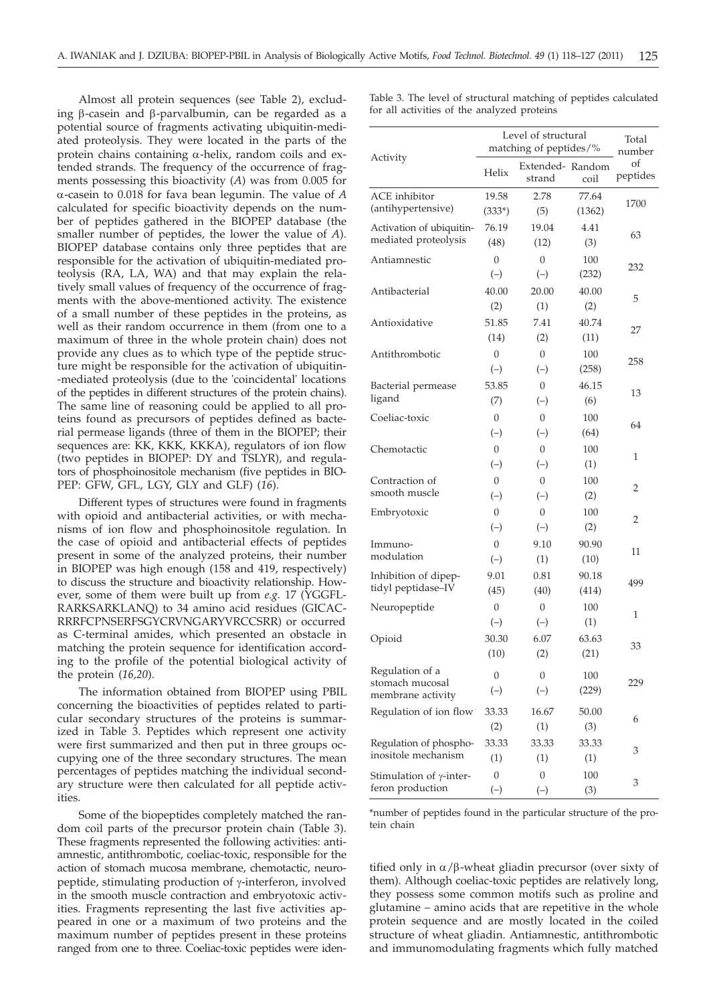Almost all protein sequences (see Table 2), excluding  $\beta$ -casein and  $\beta$ -parvalbumin, can be regarded as a potential source of fragments activating ubiquitin-mediated proteolysis. They were located in the parts of the protein chains containing  $\alpha$ -helix, random coils and extended strands. The frequency of the occurrence of fragments possessing this bioactivity (*A*) was from 0.005 for a-casein to 0.018 for fava bean legumin. The value of *<sup>A</sup>* calculated for specific bioactivity depends on the number of peptides gathered in the BIOPEP database (the smaller number of peptides, the lower the value of *A*). BIOPEP database contains only three peptides that are responsible for the activation of ubiquitin-mediated proteolysis (RA, LA, WA) and that may explain the relatively small values of frequency of the occurrence of fragments with the above-mentioned activity. The existence of a small number of these peptides in the proteins, as well as their random occurrence in them (from one to a maximum of three in the whole protein chain) does not provide any clues as to which type of the peptide structure might be responsible for the activation of ubiquitin- -mediated proteolysis (due to the 'coincidental' locations of the peptides in different structures of the protein chains). The same line of reasoning could be applied to all proteins found as precursors of peptides defined as bacterial permease ligands (three of them in the BIOPEP; their sequences are: KK, KKK, KKKA), regulators of ion flow (two peptides in BIOPEP: DY and TSLYR), and regulators of phosphoinositole mechanism (five peptides in BIO-PEP: GFW, GFL, LGY, GLY and GLF) (*16*).

Different types of structures were found in fragments with opioid and antibacterial activities, or with mechanisms of ion flow and phosphoinositole regulation. In the case of opioid and antibacterial effects of peptides present in some of the analyzed proteins, their number in BIOPEP was high enough (158 and 419, respectively) to discuss the structure and bioactivity relationship. However, some of them were built up from *e.g.* 17 (YGGFL-RARKSARKLANQ) to 34 amino acid residues (GICAC-RRRFCPNSERFSGYCRVNGARYVRCCSRR) or occurred as C-terminal amides, which presented an obstacle in matching the protein sequence for identification according to the profile of the potential biological activity of the protein (*16,20*).

The information obtained from BIOPEP using PBIL concerning the bioactivities of peptides related to particular secondary structures of the proteins is summarized in Table 3. Peptides which represent one activity were first summarized and then put in three groups occupying one of the three secondary structures. The mean percentages of peptides matching the individual secondary structure were then calculated for all peptide activities.

Some of the biopeptides completely matched the random coil parts of the precursor protein chain (Table 3). These fragments represented the following activities: antiamnestic, antithrombotic, coeliac-toxic, responsible for the action of stomach mucosa membrane, chemotactic, neuropeptide, stimulating production of  $\gamma$ -interferon, involved in the smooth muscle contraction and embryotoxic activities. Fragments representing the last five activities appeared in one or a maximum of two proteins and the maximum number of peptides present in these proteins ranged from one to three. Coeliac-toxic peptides were idenTable 3. The level of structural matching of peptides calculated for all activities of the analyzed proteins

| Activity                                            | Level of structural<br>matching of peptides/% |                           |            | Total<br>number |
|-----------------------------------------------------|-----------------------------------------------|---------------------------|------------|-----------------|
|                                                     | Helix                                         | Extended-Random<br>strand | coil       | of<br>peptides  |
| <b>ACE</b> inhibitor                                | 19.58                                         | 2.78                      | 77.64      | 1700            |
| (antihypertensive)                                  | $(333*)$                                      | (5)                       | (1362)     |                 |
| Activation of ubiquitin-                            | 76.19                                         | 19.04                     | 4.41       | 63              |
| mediated proteolysis                                | (48)                                          | (12)                      | (3)        |                 |
| Antiamnestic                                        | 0                                             | 0                         | 100        | 232             |
|                                                     | $(-)$                                         | $(-)$                     | (232)      |                 |
| Antibacterial                                       | 40.00                                         | 20.00                     | 40.00      | 5               |
|                                                     | (2)                                           | (1)                       | (2)        |                 |
| Antioxidative                                       | 51.85                                         | 7.41                      | 40.74      | 27              |
|                                                     | (14)                                          | (2)                       | (11)       |                 |
| Antithrombotic                                      | $\boldsymbol{0}$                              | 0                         | 100        |                 |
|                                                     | $(-)$                                         | $(-)$                     | (258)      | 258             |
| Bacterial permease                                  | 53.85                                         | $\overline{0}$            | 46.15      | 13              |
| ligand                                              | (7)                                           | $(-)$                     | (6)        |                 |
| Coeliac-toxic                                       | $\overline{0}$                                | $\overline{0}$            | 100        | 64              |
|                                                     | $(-)$                                         | $(-)$                     | (64)       |                 |
| Chemotactic                                         | $\overline{0}$                                | $\boldsymbol{0}$          | 100        | 1               |
|                                                     | $(-)$                                         | $(-)$                     | (1)        |                 |
| Contraction of                                      | $\overline{0}$                                | $\overline{0}$            | 100        | 2               |
| smooth muscle                                       | $(-)$                                         | $(-)$                     | (2)        |                 |
| Embryotoxic                                         | $\overline{0}$                                | $\theta$                  | 100        | 2               |
|                                                     | $(-)$                                         | $(-)$                     | (2)        |                 |
| lmmuno-                                             | $\theta$                                      | 9.10                      | 90.90      | 11              |
| modulation                                          | $(-)$                                         | (1)                       | (10)       |                 |
| Inhibition of dipep-                                | 9.01                                          | 0.81                      | 90.18      | 499             |
| tidyl peptidase-IV                                  | (45)                                          | (40)                      | (414)      |                 |
| Neuropeptide                                        | $\overline{0}$                                | $\overline{0}$            | 100        | 1               |
|                                                     | $(-)$                                         | $(-)$                     | (1)        |                 |
| Opioid                                              | 30.30                                         | 6.07                      | 63.63      | 33              |
|                                                     | (10)                                          | (2)                       | (21)       |                 |
| Regulation of a                                     | $\theta$                                      | 0                         | 100        |                 |
| stomach mucosal                                     | $(-)$                                         | $(-)$                     | (229)      | 229             |
| membrane activity                                   |                                               |                           |            |                 |
| Regulation of ion flow                              | 33.33                                         | 16.67                     | 50.00      | 6               |
|                                                     | (2)                                           | (1)                       | (3)        | 3               |
| Regulation of phospho-<br>inositole mechanism       | 33.33                                         | 33.33                     | 33.33      |                 |
|                                                     | (1)                                           | (1)                       | (1)        |                 |
| Stimulation of $\gamma$ -inter-<br>feron production | $\boldsymbol{0}$<br>$(-)$                     | 0<br>$(-)$                | 100<br>(3) | 3               |
|                                                     |                                               |                           |            |                 |

\*number of peptides found in the particular structure of the protein chain

tified only in  $\alpha/\beta$ -wheat gliadin precursor (over sixty of them). Although coeliac-toxic peptides are relatively long, they possess some common motifs such as proline and glutamine – amino acids that are repetitive in the whole protein sequence and are mostly located in the coiled structure of wheat gliadin. Antiamnestic, antithrombotic and immunomodulating fragments which fully matched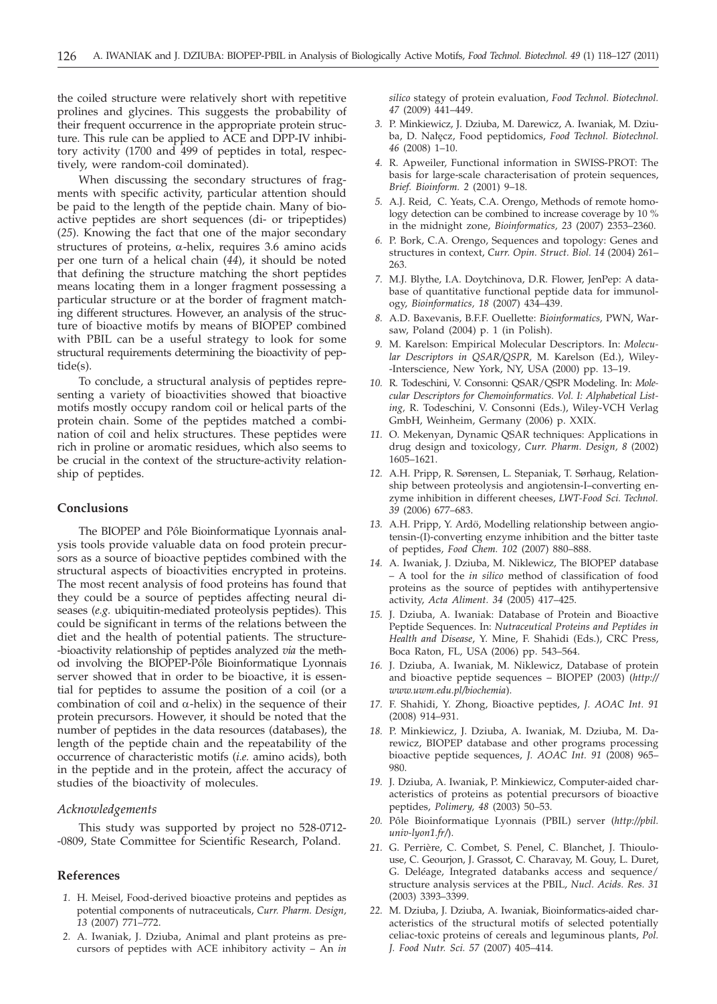the coiled structure were relatively short with repetitive prolines and glycines. This suggests the probability of their frequent occurrence in the appropriate protein structure. This rule can be applied to ACE and DPP-IV inhibitory activity (1700 and 499 of peptides in total, respectively, were random-coil dominated).

When discussing the secondary structures of fragments with specific activity, particular attention should be paid to the length of the peptide chain. Many of bioactive peptides are short sequences (di- or tripeptides) (*25*). Knowing the fact that one of the major secondary structures of proteins,  $\alpha$ -helix, requires 3.6 amino acids per one turn of a helical chain (*44*), it should be noted that defining the structure matching the short peptides means locating them in a longer fragment possessing a particular structure or at the border of fragment matching different structures. However, an analysis of the structure of bioactive motifs by means of BIOPEP combined with PBIL can be a useful strategy to look for some structural requirements determining the bioactivity of peptide(s).

To conclude, a structural analysis of peptides representing a variety of bioactivities showed that bioactive motifs mostly occupy random coil or helical parts of the protein chain. Some of the peptides matched a combination of coil and helix structures. These peptides were rich in proline or aromatic residues, which also seems to be crucial in the context of the structure-activity relationship of peptides.

### **Conclusions**

The BIOPEP and Pôle Bioinformatique Lyonnais analysis tools provide valuable data on food protein precursors as a source of bioactive peptides combined with the structural aspects of bioactivities encrypted in proteins. The most recent analysis of food proteins has found that they could be a source of peptides affecting neural diseases (*e.g.* ubiquitin-mediated proteolysis peptides). This could be significant in terms of the relations between the diet and the health of potential patients. The structure- -bioactivity relationship of peptides analyzed *via* the method involving the BIOPEP-Pôle Bioinformatique Lyonnais server showed that in order to be bioactive, it is essential for peptides to assume the position of a coil (or a combination of coil and  $\alpha$ -helix) in the sequence of their protein precursors. However, it should be noted that the number of peptides in the data resources (databases), the length of the peptide chain and the repeatability of the occurrence of characteristic motifs (*i.e.* amino acids), both in the peptide and in the protein, affect the accuracy of studies of the bioactivity of molecules.

## *Acknowledgements*

This study was supported by project no 528-0712- -0809, State Committee for Scientific Research, Poland.

## **References**

- *1.* H. Meisel, Food-derived bioactive proteins and peptides as potential components of nutraceuticals, *Curr. Pharm. Design, 13* (2007) 771–772.
- *2.* A. Iwaniak, J. Dziuba, Animal and plant proteins as precursors of peptides with ACE inhibitory activity – An *in*

*silico* stategy of protein evaluation, *Food Technol. Biotechnol. 47* (2009) 441–449.

- *3.* P. Minkiewicz, J. Dziuba, M. Darewicz, A. Iwaniak, M. Dziuba, D. Nałęcz, Food peptidomics, Food Technol. Biotechnol. *46* (2008) 1–10.
- *4.* R. Apweiler, Functional information in SWISS-PROT: The basis for large-scale characterisation of protein sequences, *Brief. Bioinform. 2* (2001) 9–18.
- *5.* A.J. Reid, C. Yeats, C.A. Orengo, Methods of remote homology detection can be combined to increase coverage by 10 % in the midnight zone, *Bioinformatics, 23* (2007) 2353–2360.
- *6.* P. Bork, C.A. Orengo, Sequences and topology: Genes and structures in context, *Curr. Opin. Struct. Biol. 14* (2004) 261– 263.
- *7.* M.J. Blythe, I.A. Doytchinova, D.R. Flower, JenPep: A database of quantitative functional peptide data for immunology, *Bioinformatics, 18* (2007) 434–439.
- *8.* A.D. Baxevanis, B.F.F. Ouellette: *Bioinformatics,* PWN, Warsaw, Poland (2004) p. 1 (in Polish).
- *9.* M. Karelson: Empirical Molecular Descriptors. In: *Molecular Descriptors in QSAR/QSPR,* M. Karelson (Ed.), Wiley- -Interscience, New York, NY, USA (2000) pp. 13–19.
- *10.* R. Todeschini, V. Consonni: QSAR/QSPR Modeling. In: *Molecular Descriptors for Chemoinformatics. Vol. I: Alphabetical Listing,* R. Todeschini, V. Consonni (Eds.), Wiley-VCH Verlag GmbH, Weinheim, Germany (2006) p. XXIX.
- *11.* O. Mekenyan, Dynamic QSAR techniques: Applications in drug design and toxicology*, Curr. Pharm. Design, 8* (2002) 1605–1621.
- *12.* A.H. Pripp, R. Sørensen, L. Stepaniak, T. Sørhaug, Relationship between proteolysis and angiotensin-I–converting enzyme inhibition in different cheeses, *LWT-Food Sci. Technol. 39* (2006) 677–683.
- *13.* A.H. Pripp, Y. Ardö, Modelling relationship between angiotensin-(I)-converting enzyme inhibition and the bitter taste of peptides, *Food Chem. 102* (2007) 880–888.
- *14.* A. Iwaniak, J. Dziuba, M. Niklewicz, The BIOPEP database – A tool for the *in silico* method of classification of food proteins as the source of peptides with antihypertensive activity, *Acta Aliment. 34* (2005) 417–425.
- *15.* J. Dziuba, A. Iwaniak: Database of Protein and Bioactive Peptide Sequences. In: *Nutraceutical Proteins and Peptides in Health and Disease*, Y. Mine, F. Shahidi (Eds.), CRC Press, Boca Raton, FL, USA (2006) pp. 543–564.
- *16.* J. Dziuba, A. Iwaniak, M. Niklewicz, Database of protein and bioactive peptide sequences – BIOPEP (2003) (*http:// www.uwm.edu.pl/biochemia*).
- *17.* F. Shahidi, Y. Zhong, Bioactive peptides, *J. AOAC Int. 91* (2008) 914–931.
- *18.* P. Minkiewicz, J. Dziuba, A. Iwaniak, M. Dziuba, M. Darewicz, BIOPEP database and other programs processing bioactive peptide sequences, *J. AOAC Int. 91* (2008) 965– 980.
- *19.* J. Dziuba, A. Iwaniak, P. Minkiewicz, Computer-aided characteristics of proteins as potential precursors of bioactive peptides, *Polimery, 48* (2003) 50–53.
- *20.* Pôle Bioinformatique Lyonnais (PBIL) server (*http://pbil. univ-lyon1.fr/*).
- *21.* G. Perrière, C. Combet, S. Penel, C. Blanchet, J. Thioulouse, C. Geourjon, J. Grassot, C. Charavay, M. Gouy, L. Duret, G. Deléage, Integrated databanks access and sequence/ structure analysis services at the PBIL, *Nucl. Acids. Res. 31* (2003) 3393–3399.
- *22.* M. Dziuba, J. Dziuba, A. Iwaniak, Bioinformatics-aided characteristics of the structural motifs of selected potentially celiac-toxic proteins of cereals and leguminous plants, *Pol. J. Food Nutr. Sci. 57* (2007) 405–414.